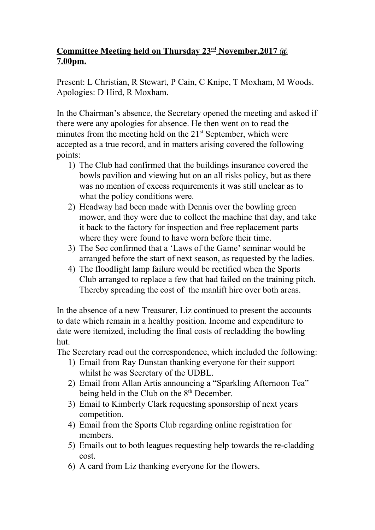## **Committee Meeting held on Thursday 23 rd November,2017 @ 7.00pm.**

Present: L Christian, R Stewart, P Cain, C Knipe, T Moxham, M Woods. Apologies: D Hird, R Moxham.

In the Chairman's absence, the Secretary opened the meeting and asked if there were any apologies for absence. He then went on to read the minutes from the meeting held on the 21<sup>st</sup> September, which were accepted as a true record, and in matters arising covered the following points:

- 1) The Club had confirmed that the buildings insurance covered the bowls pavilion and viewing hut on an all risks policy, but as there was no mention of excess requirements it was still unclear as to what the policy conditions were.
- 2) Headway had been made with Dennis over the bowling green mower, and they were due to collect the machine that day, and take it back to the factory for inspection and free replacement parts where they were found to have worn before their time.
- 3) The Sec confirmed that a 'Laws of the Game' seminar would be arranged before the start of next season, as requested by the ladies.
- 4) The floodlight lamp failure would be rectified when the Sports Club arranged to replace a few that had failed on the training pitch. Thereby spreading the cost of the manlift hire over both areas.

In the absence of a new Treasurer, Liz continued to present the accounts to date which remain in a healthy position. Income and expenditure to date were itemized, including the final costs of recladding the bowling hut.

The Secretary read out the correspondence, which included the following:

- 1) Email from Ray Dunstan thanking everyone for their support whilst he was Secretary of the UDBL.
- 2) Email from Allan Artis announcing a "Sparkling Afternoon Tea" being held in the Club on the 8<sup>th</sup> December.
- 3) Email to Kimberly Clark requesting sponsorship of next years competition.
- 4) Email from the Sports Club regarding online registration for members.
- 5) Emails out to both leagues requesting help towards the re-cladding cost.
- 6) A card from Liz thanking everyone for the flowers.